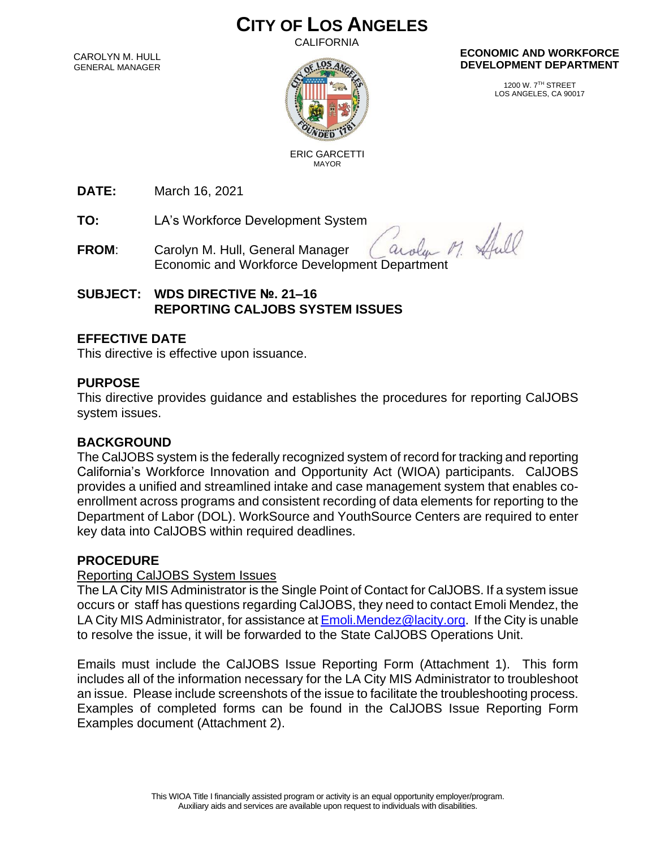# **CITY OF LOS ANGELES**

CALIFORNIA

CAROLYN M. HULL GENERAL MANAGER



#### **ECONOMIC AND WORKFORCE DEVELOPMENT DEPARTMENT**

1200 W. 7TH STREET LOS ANGELES, CA 90017

 ERIC GARCETTI MAYOR

**DATE:** March 16, 2021

**TO:** LA's Workforce Development System

Carolyn M. Hull, General Manager<br>Economic and Workforce Development Department arola **FROM**: Carolyn M. Hull, General Manager

**SUBJECT: WDS DIRECTIVE №. 21–16 REPORTING CALJOBS SYSTEM ISSUES**

## **EFFECTIVE DATE**

This directive is effective upon issuance.

## **PURPOSE**

This directive provides guidance and establishes the procedures for reporting CalJOBS system issues.

#### **BACKGROUND**

The CalJOBS system is the federally recognized system of record for tracking and reporting California's Workforce Innovation and Opportunity Act (WIOA) participants. CalJOBS provides a unified and streamlined intake and case management system that enables coenrollment across programs and consistent recording of data elements for reporting to the Department of Labor (DOL). WorkSource and YouthSource Centers are required to enter key data into CalJOBS within required deadlines.

#### **PROCEDURE**

#### Reporting CalJOBS System Issues

The LA City MIS Administrator is the Single Point of Contact for CalJOBS. If a system issue occurs or staff has questions regarding CalJOBS, they need to contact Emoli Mendez, the LA City MIS Administrator, for assistance a[t Emoli.Mendez@lacity.org.](mailto:Emoli.Mendez@lacity.org) If the City is unable to resolve the issue, it will be forwarded to the State CalJOBS Operations Unit.

Emails must include the CalJOBS Issue Reporting Form (Attachment 1). This form includes all of the information necessary for the LA City MIS Administrator to troubleshoot an issue. Please include screenshots of the issue to facilitate the troubleshooting process. Examples of completed forms can be found in the CalJOBS Issue Reporting Form Examples document (Attachment 2).